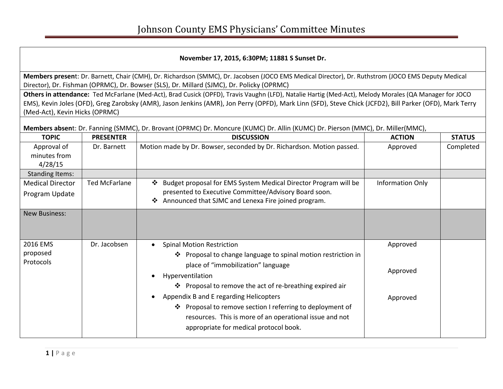## **November 17, 2015, 6:30PM; 11881 S Sunset Dr.**

**Members presen**t: Dr. Barnett, Chair (CMH), Dr. Richardson (SMMC), Dr. Jacobsen (JOCO EMS Medical Director), Dr. Ruthstrom (JOCO EMS Deputy Medical Director), Dr. Fishman (OPRMC), Dr. Bowser (SLS), Dr. Millard (SJMC), Dr. Policky (OPRMC)

**Others in attendance:** Ted McFarlane (Med-Act), Brad Cusick (OPFD), Travis Vaughn (LFD), Natalie Hartig (Med-Act), Melody Morales (QA Manager for JOCO EMS), Kevin Joles (OFD), Greg Zarobsky (AMR), Jason Jenkins (AMR), Jon Perry (OPFD), Mark Linn (SFD), Steve Chick (JCFD2), Bill Parker (OFD), Mark Terry (Med-Act), Kevin Hicks (OPRMC)

**Members absen**t: Dr. Fanning (SMMC), Dr. Brovant (OPRMC) Dr. Moncure (KUMC) Dr. Allin (KUMC) Dr. Pierson (MMC), Dr. Miller(MMC),

| <b>TOPIC</b>                | <b>PRESENTER</b>     | <b>DISCUSSION</b>                                                                                                                                                                                                     | <b>ACTION</b>    | <b>STATUS</b> |
|-----------------------------|----------------------|-----------------------------------------------------------------------------------------------------------------------------------------------------------------------------------------------------------------------|------------------|---------------|
| Approval of<br>minutes from | Dr. Barnett          | Motion made by Dr. Bowser, seconded by Dr. Richardson. Motion passed.                                                                                                                                                 | Approved         | Completed     |
| 4/28/15                     |                      |                                                                                                                                                                                                                       |                  |               |
| <b>Standing Items:</b>      |                      |                                                                                                                                                                                                                       |                  |               |
| <b>Medical Director</b>     | <b>Ted McFarlane</b> | Budget proposal for EMS System Medical Director Program will be<br>❖                                                                                                                                                  | Information Only |               |
| Program Update              |                      | presented to Executive Committee/Advisory Board soon.<br>Announced that SJMC and Lenexa Fire joined program.<br>$\ddot{\bullet}$                                                                                      |                  |               |
| <b>New Business:</b>        |                      |                                                                                                                                                                                                                       |                  |               |
| 2016 EMS                    | Dr. Jacobsen         | <b>Spinal Motion Restriction</b><br>$\bullet$                                                                                                                                                                         | Approved         |               |
| proposed<br>Protocols       |                      | ❖ Proposal to change language to spinal motion restriction in<br>place of "immobilization" language<br>Hyperventilation<br>$\bullet$<br>❖ Proposal to remove the act of re-breathing expired air                      | Approved         |               |
|                             |                      | Appendix B and E regarding Helicopters<br>$\bullet$<br>❖ Proposal to remove section I referring to deployment of<br>resources. This is more of an operational issue and not<br>appropriate for medical protocol book. | Approved         |               |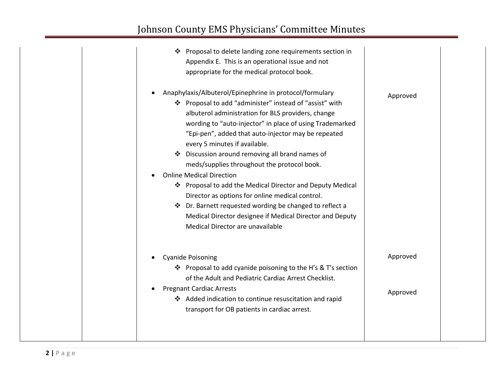|           | Proposal to delete landing zone requirements section in<br>❖<br>Appendix E. This is an operational issue and not<br>appropriate for the medical protocol book.                                                                                                                                                                                                                                                                                                                                                                                                                                                                                                                                                                                |          |
|-----------|-----------------------------------------------------------------------------------------------------------------------------------------------------------------------------------------------------------------------------------------------------------------------------------------------------------------------------------------------------------------------------------------------------------------------------------------------------------------------------------------------------------------------------------------------------------------------------------------------------------------------------------------------------------------------------------------------------------------------------------------------|----------|
| $\bullet$ | Anaphylaxis/Albuterol/Epinephrine in protocol/formulary<br>❖ Proposal to add "administer" instead of "assist" with<br>albuterol administration for BLS providers, change<br>wording to "auto-injector" in place of using Trademarked<br>"Epi-pen", added that auto-injector may be repeated<br>every 5 minutes if available.<br>Discussion around removing all brand names of<br>meds/supplies throughout the protocol book.<br><b>Online Medical Direction</b><br>❖ Proposal to add the Medical Director and Deputy Medical<br>Director as options for online medical control.<br>Dr. Barnett requested wording be changed to reflect a<br>❖<br>Medical Director designee if Medical Director and Deputy<br>Medical Director are unavailable | Approved |
|           | <b>Cyanide Poisoning</b><br>❖ Proposal to add cyanide poisoning to the H's & T's section<br>of the Adult and Pediatric Cardiac Arrest Checklist.                                                                                                                                                                                                                                                                                                                                                                                                                                                                                                                                                                                              | Approved |
|           | <b>Pregnant Cardiac Arrests</b><br>Added indication to continue resuscitation and rapid<br>transport for OB patients in cardiac arrest.                                                                                                                                                                                                                                                                                                                                                                                                                                                                                                                                                                                                       | Approved |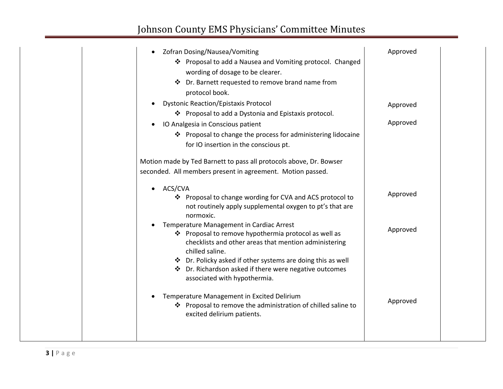| Zofran Dosing/Nausea/Vomiting                                                                                 | Approved |
|---------------------------------------------------------------------------------------------------------------|----------|
| ❖ Proposal to add a Nausea and Vomiting protocol. Changed                                                     |          |
| wording of dosage to be clearer.                                                                              |          |
| Dr. Barnett requested to remove brand name from<br>❖                                                          |          |
| protocol book.                                                                                                |          |
| <b>Dystonic Reaction/Epistaxis Protocol</b><br>$\bullet$                                                      | Approved |
| ❖ Proposal to add a Dystonia and Epistaxis protocol.                                                          |          |
| IO Analgesia in Conscious patient<br>$\bullet$                                                                | Approved |
| ❖ Proposal to change the process for administering lidocaine                                                  |          |
| for IO insertion in the conscious pt.                                                                         |          |
|                                                                                                               |          |
| Motion made by Ted Barnett to pass all protocols above, Dr. Bowser                                            |          |
| seconded. All members present in agreement. Motion passed.                                                    |          |
| ACS/CVA<br>$\bullet$                                                                                          |          |
| ❖ Proposal to change wording for CVA and ACS protocol to                                                      | Approved |
| not routinely apply supplemental oxygen to pt's that are                                                      |          |
| normoxic.                                                                                                     |          |
| Temperature Management in Cardiac Arrest                                                                      | Approved |
| ❖ Proposal to remove hypothermia protocol as well as<br>checklists and other areas that mention administering |          |
| chilled saline.                                                                                               |          |
| ❖ Dr. Policky asked if other systems are doing this as well                                                   |          |
| ❖ Dr. Richardson asked if there were negative outcomes                                                        |          |
| associated with hypothermia.                                                                                  |          |
| Temperature Management in Excited Delirium                                                                    |          |
| ❖ Proposal to remove the administration of chilled saline to                                                  | Approved |
| excited delirium patients.                                                                                    |          |
|                                                                                                               |          |
|                                                                                                               |          |
|                                                                                                               |          |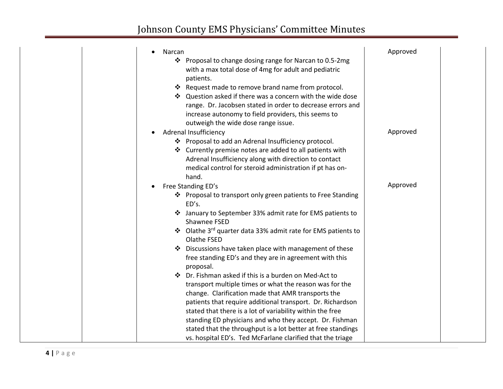| Narcan                                                                                                          | Approved |  |
|-----------------------------------------------------------------------------------------------------------------|----------|--|
| Proposal to change dosing range for Narcan to 0.5-2mg<br>❖                                                      |          |  |
| with a max total dose of 4mg for adult and pediatric                                                            |          |  |
| patients.                                                                                                       |          |  |
| * Request made to remove brand name from protocol.                                                              |          |  |
| ❖ Question asked if there was a concern with the wide dose                                                      |          |  |
| range. Dr. Jacobsen stated in order to decrease errors and                                                      |          |  |
| increase autonomy to field providers, this seems to                                                             |          |  |
| outweigh the wide dose range issue.                                                                             |          |  |
| Adrenal Insufficiency                                                                                           | Approved |  |
| ❖ Proposal to add an Adrenal Insufficiency protocol.                                                            |          |  |
| ❖ Currently premise notes are added to all patients with                                                        |          |  |
| Adrenal Insufficiency along with direction to contact                                                           |          |  |
| medical control for steroid administration if pt has on-                                                        |          |  |
| hand.                                                                                                           |          |  |
| Free Standing ED's                                                                                              | Approved |  |
| ❖ Proposal to transport only green patients to Free Standing                                                    |          |  |
| ED's.                                                                                                           |          |  |
| January to September 33% admit rate for EMS patients to                                                         |          |  |
| Shawnee FSED                                                                                                    |          |  |
| ❖ Olathe 3rd quarter data 33% admit rate for EMS patients to                                                    |          |  |
| Olathe FSED                                                                                                     |          |  |
| Discussions have taken place with management of these<br>free standing ED's and they are in agreement with this |          |  |
| proposal.                                                                                                       |          |  |
| $\cdot$<br>Dr. Fishman asked if this is a burden on Med-Act to                                                  |          |  |
| transport multiple times or what the reason was for the                                                         |          |  |
| change. Clarification made that AMR transports the                                                              |          |  |
| patients that require additional transport. Dr. Richardson                                                      |          |  |
| stated that there is a lot of variability within the free                                                       |          |  |
| standing ED physicians and who they accept. Dr. Fishman                                                         |          |  |
| stated that the throughput is a lot better at free standings                                                    |          |  |
| vs. hospital ED's. Ted McFarlane clarified that the triage                                                      |          |  |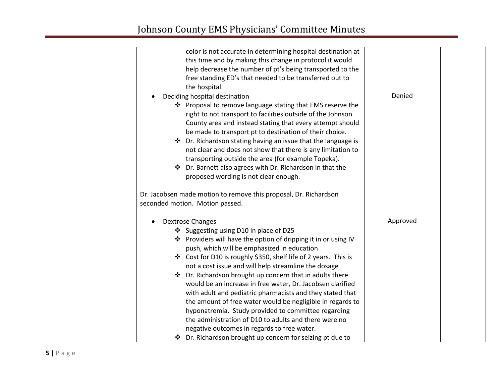| color is not accurate in determining hospital destination at<br>this time and by making this change in protocol it would<br>help decrease the number of pt's being transported to the<br>free standing ED's that needed to be transferred out to<br>the hospital.<br>Deciding hospital destination<br>❖ Proposal to remove language stating that EMS reserve the<br>right to not transport to facilities outside of the Johnson<br>County area and instead stating that every attempt should<br>be made to transport pt to destination of their choice.<br>❖ Dr. Richardson stating having an issue that the language is<br>not clear and does not show that there is any limitation to<br>transporting outside the area (for example Topeka).<br>❖ Dr. Barnett also agrees with Dr. Richardson in that the<br>proposed wording is not clear enough.<br>Dr. Jacobsen made motion to remove this proposal, Dr. Richardson<br>seconded motion. Motion passed. | Denied   |
|-------------------------------------------------------------------------------------------------------------------------------------------------------------------------------------------------------------------------------------------------------------------------------------------------------------------------------------------------------------------------------------------------------------------------------------------------------------------------------------------------------------------------------------------------------------------------------------------------------------------------------------------------------------------------------------------------------------------------------------------------------------------------------------------------------------------------------------------------------------------------------------------------------------------------------------------------------------|----------|
| <b>Dextrose Changes</b><br>$\bullet$<br>❖ Suggesting using D10 in place of D25<br>❖ Providers will have the option of dripping it in or using IV<br>push, which will be emphasized in education<br>❖ Cost for D10 is roughly \$350, shelf life of 2 years. This is<br>not a cost issue and will help streamline the dosage<br>❖ Dr. Richardson brought up concern that in adults there<br>would be an increase in free water, Dr. Jacobsen clarified<br>with adult and pediatric pharmacists and they stated that<br>the amount of free water would be negligible in regards to<br>hyponatremia. Study provided to committee regarding<br>the administration of D10 to adults and there were no<br>negative outcomes in regards to free water.                                                                                                                                                                                                              | Approved |
| ❖ Dr. Richardson brought up concern for seizing pt due to                                                                                                                                                                                                                                                                                                                                                                                                                                                                                                                                                                                                                                                                                                                                                                                                                                                                                                   |          |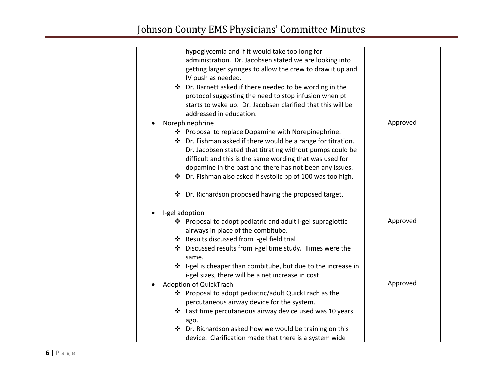| hypoglycemia and if it would take too long for<br>administration. Dr. Jacobsen stated we are looking into<br>getting larger syringes to allow the crew to draw it up and<br>IV push as needed.<br>❖ Dr. Barnett asked if there needed to be wording in the<br>protocol suggesting the need to stop infusion when pt<br>starts to wake up. Dr. Jacobsen clarified that this will be<br>addressed in education. | Approved |  |
|---------------------------------------------------------------------------------------------------------------------------------------------------------------------------------------------------------------------------------------------------------------------------------------------------------------------------------------------------------------------------------------------------------------|----------|--|
| Norephinephrine<br>❖ Proposal to replace Dopamine with Norepinephrine.                                                                                                                                                                                                                                                                                                                                        |          |  |
| ❖ Dr. Fishman asked if there would be a range for titration.                                                                                                                                                                                                                                                                                                                                                  |          |  |
| Dr. Jacobsen stated that titrating without pumps could be                                                                                                                                                                                                                                                                                                                                                     |          |  |
| difficult and this is the same wording that was used for                                                                                                                                                                                                                                                                                                                                                      |          |  |
| dopamine in the past and there has not been any issues.                                                                                                                                                                                                                                                                                                                                                       |          |  |
| ❖ Dr. Fishman also asked if systolic bp of 100 was too high.                                                                                                                                                                                                                                                                                                                                                  |          |  |
| Dr. Richardson proposed having the proposed target.<br>❖                                                                                                                                                                                                                                                                                                                                                      |          |  |
| I-gel adoption                                                                                                                                                                                                                                                                                                                                                                                                |          |  |
| ❖ Proposal to adopt pediatric and adult i-gel supraglottic<br>airways in place of the combitube.                                                                                                                                                                                                                                                                                                              | Approved |  |
| ❖ Results discussed from i-gel field trial                                                                                                                                                                                                                                                                                                                                                                    |          |  |
| Discussed results from i-gel time study. Times were the<br>same.                                                                                                                                                                                                                                                                                                                                              |          |  |
| ❖ I-gel is cheaper than combitube, but due to the increase in<br>i-gel sizes, there will be a net increase in cost                                                                                                                                                                                                                                                                                            |          |  |
| Adoption of QuickTrach                                                                                                                                                                                                                                                                                                                                                                                        | Approved |  |
| ❖ Proposal to adopt pediatric/adult QuickTrach as the<br>percutaneous airway device for the system.                                                                                                                                                                                                                                                                                                           |          |  |
| ❖ Last time percutaneous airway device used was 10 years                                                                                                                                                                                                                                                                                                                                                      |          |  |
| ago.                                                                                                                                                                                                                                                                                                                                                                                                          |          |  |
| ❖ Dr. Richardson asked how we would be training on this                                                                                                                                                                                                                                                                                                                                                       |          |  |
| device. Clarification made that there is a system wide                                                                                                                                                                                                                                                                                                                                                        |          |  |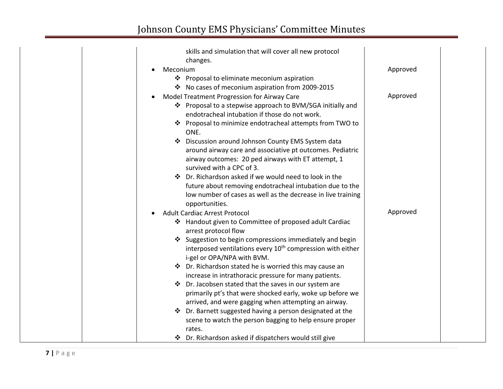|                       | skills and simulation that will cover all new protocol<br>changes.     |          |
|-----------------------|------------------------------------------------------------------------|----------|
|                       |                                                                        | Approved |
| Meconium<br>$\bullet$ |                                                                        |          |
|                       | ❖ Proposal to eliminate meconium aspiration                            |          |
|                       | ❖ No cases of meconium aspiration from 2009-2015                       |          |
| $\bullet$             | Model Treatment Progression for Airway Care                            | Approved |
|                       | ❖ Proposal to a stepwise approach to BVM/SGA initially and             |          |
|                       | endotracheal intubation if those do not work.                          |          |
|                       | ❖ Proposal to minimize endotracheal attempts from TWO to<br>ONE.       |          |
|                       | Discussion around Johnson County EMS System data                       |          |
|                       | around airway care and associative pt outcomes. Pediatric              |          |
|                       | airway outcomes: 20 ped airways with ET attempt, 1                     |          |
|                       | survived with a CPC of 3.                                              |          |
| ❖                     | Dr. Richardson asked if we would need to look in the                   |          |
|                       | future about removing endotracheal intubation due to the               |          |
|                       | low number of cases as well as the decrease in live training           |          |
|                       | opportunities.                                                         |          |
| $\bullet$             | <b>Adult Cardiac Arrest Protocol</b>                                   | Approved |
|                       | ❖ Handout given to Committee of proposed adult Cardiac                 |          |
|                       | arrest protocol flow                                                   |          |
|                       | ❖ Suggestion to begin compressions immediately and begin               |          |
|                       | interposed ventilations every 10 <sup>th</sup> compression with either |          |
|                       | i-gel or OPA/NPA with BVM.                                             |          |
|                       | ❖ Dr. Richardson stated he is worried this may cause an                |          |
|                       | increase in intrathoracic pressure for many patients.                  |          |
| ❖                     | Dr. Jacobsen stated that the saves in our system are                   |          |
|                       | primarily pt's that were shocked early, woke up before we              |          |
|                       | arrived, and were gagging when attempting an airway.                   |          |
| ❖                     | Dr. Barnett suggested having a person designated at the                |          |
|                       | scene to watch the person bagging to help ensure proper                |          |
|                       | rates.                                                                 |          |
|                       | ❖ Dr. Richardson asked if dispatchers would still give                 |          |